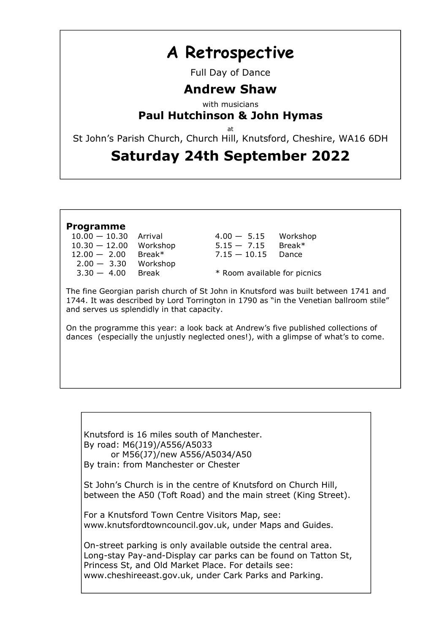# A Retrospective

Full Day of Dance

## Andrew Shaw

with musicians

### Paul Hutchinson & John Hymas

at

St John's Parish Church, Church Hill, Knutsford, Cheshire, WA16 6DH

## Saturday 24th September 2022

### Programme

| $10.00 - 10.30$ | Arrival  |
|-----------------|----------|
| $10.30 - 12.00$ | Workshop |
| $12.00 - 2.00$  | Break*   |
| $2.00 - 3.30$   | Workshop |
| $3.30 - 4.00$   | Break    |
|                 |          |

 $4.00 - 5.15$  Workshop 1.30 — 1.300 WORSHOP BREAK\*  $7.15 - 10.15$  Dance

\* Room available for picnics

The fine Georgian parish church of St John in Knutsford was built between 1741 and 1744. It was described by Lord Torrington in 1790 as "in the Venetian ballroom stile" and serves us splendidly in that capacity.

On the programme this year: a look back at Andrew's five published collections of dances (especially the unjustly neglected ones!), with a glimpse of what's to come.

Knutsford is 16 miles south of Manchester. By road: M6(J19)/A556/A5033 or M56(J7)/new A556/A5034/A50 By train: from Manchester or Chester

St John's Church is in the centre of Knutsford on Church Hill, between the A50 (Toft Road) and the main street (King Street).

For a Knutsford Town Centre Visitors Map, see: www.knutsfordtowncouncil.gov.uk, under Maps and Guides.

On-street parking is only available outside the central area. Long-stay Pay-and-Display car parks can be found on Tatton St, Princess St, and Old Market Place. For details see: www.cheshireeast.gov.uk, under Cark Parks and Parking.